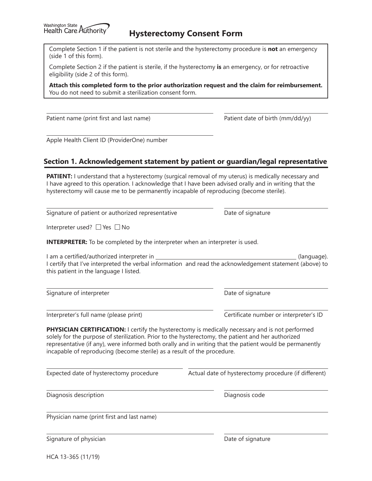Complete Section 1 if the patient is not sterile and the hysterectomy procedure is **not** an emergency (side 1 of this form).

Complete Section 2 if the patient is sterile, if the hysterectomy **is** an emergency, or for retroactive eligibility (side 2 of this form).

**Attach this completed form to the prior authorization request and the claim for reimbursement.** You do not need to submit a sterilization consent form.

Patient name (print first and last name) Patient date of birth (mm/dd/yy)

Apple Health Client ID (ProviderOne) number

## **Section 1. Acknowledgement statement by patient or guardian/legal representative**

**PATIENT:** I understand that a hysterectomy (surgical removal of my uterus) is medically necessary and I have agreed to this operation. I acknowledge that I have been advised orally and in writing that the hysterectomy will cause me to be permanently incapable of reproducing (become sterile).

Signature of patient or authorized representative **Date of signature** Date of signature

Interpreter used?  $\Box$  Yes  $\Box$  No

**INTERPRETER:** To be completed by the interpreter when an interpreter is used.

I am a certified/authorized interpreter in (language). I certify that I've interpreted the verbal information and read the acknowledgement statement (above) to this patient in the language I listed.

Signature of interpreter **Date of signature** Date of signature

Interpreter's full name (please print) Certificate number or interpreter's ID

**PHYSICIAN CERTIFICATION:** I certify the hysterectomy is medically necessary and is not performed solely for the purpose of sterilization. Prior to the hysterectomy, the patient and her authorized representative (if any), were informed both orally and in writing that the patient would be permanently incapable of reproducing (become sterile) as a result of the procedure.

Expected date of hysterectomy procedure Actual date of hysterectomy procedure (if different)

Diagnosis description Diagnosis code

Physician name (print first and last name)

Signature of physician and the state of signature of signature Date of signature